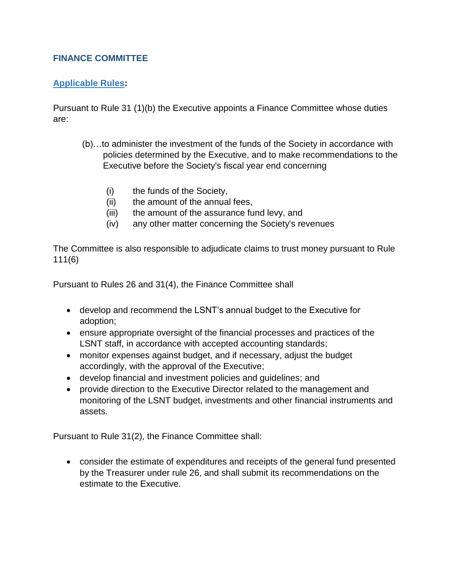## **FINANCE COMMITTEE**

## **Applicable Rules:**

Pursuant to Rule 31 (1)(b) the Executive appoints a Finance Committee whose duties are:

- (b)…to administer the investment of the funds of the Society in accordance with policies determined by the Executive, and to make recommendations to the Executive before the Society's fiscal year end concerning
	- (i) the funds of the Society,
	- (ii) the amount of the annual fees,
	- (iii) the amount of the assurance fund levy, and
	- (iv) any other matter concerning the Society's revenues

The Committee is also responsible to adjudicate claims to trust money pursuant to Rule 111(6)

Pursuant to Rules 26 and 31(4), the Finance Committee shall

- develop and recommend the LSNT's annual budget to the Executive for adoption;
- ensure appropriate oversight of the financial processes and practices of the LSNT staff, in accordance with accepted accounting standards;
- monitor expenses against budget, and if necessary, adjust the budget accordingly, with the approval of the Executive;
- develop financial and investment policies and guidelines; and
- provide direction to the Executive Director related to the management and monitoring of the LSNT budget, investments and other financial instruments and assets.

Pursuant to Rule 31(2), the Finance Committee shall:

 consider the estimate of expenditures and receipts of the general fund presented by the Treasurer under rule 26, and shall submit its recommendations on the estimate to the Executive.